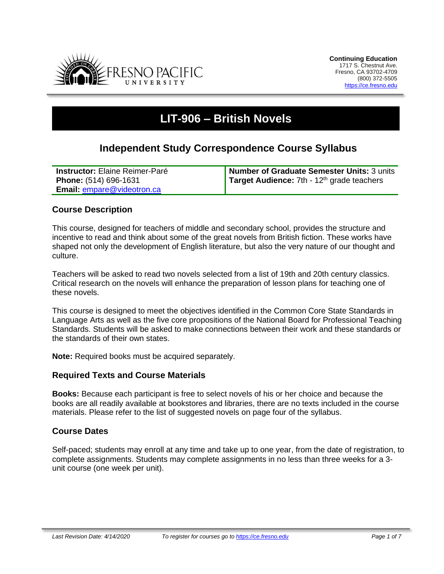

# **LIT-906 – British Novels**

# **Independent Study Correspondence Course Syllabus**

| <b>Instructor:</b> Elaine Reimer-Paré | Number of Graduate Semester Units: 3 units   |
|---------------------------------------|----------------------------------------------|
| Phone: (514) 696-1631                 | Target Audience: $7th - 12th$ grade teachers |
| <b>Email: empare@videotron.ca</b>     |                                              |

# **Course Description**

This course, designed for teachers of middle and secondary school, provides the structure and incentive to read and think about some of the great novels from British fiction. These works have shaped not only the development of English literature, but also the very nature of our thought and culture.

Teachers will be asked to read two novels selected from a list of 19th and 20th century classics. Critical research on the novels will enhance the preparation of lesson plans for teaching one of these novels.

This course is designed to meet the objectives identified in the Common Core State Standards in Language Arts as well as the five core propositions of the National Board for Professional Teaching Standards. Students will be asked to make connections between their work and these standards or the standards of their own states.

**Note:** Required books must be acquired separately.

## **Required Texts and Course Materials**

**Books:** Because each participant is free to select novels of his or her choice and because the books are all readily available at bookstores and libraries, there are no texts included in the course materials. Please refer to the list of suggested novels on page four of the syllabus.

## **Course Dates**

Self-paced; students may enroll at any time and take up to one year, from the date of registration, to complete assignments. Students may complete assignments in no less than three weeks for a 3 unit course (one week per unit).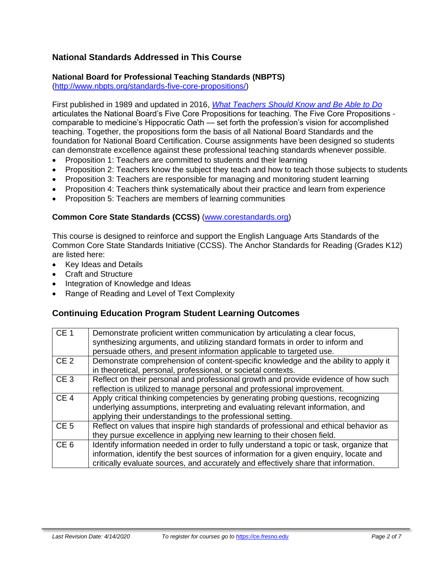# **National Standards Addressed in This Course**

# **National Board for Professional Teaching Standards (NBPTS)**

[\(http://www.nbpts.org/standards-five-core-propositions/\)](http://www.nbpts.org/standards-five-core-propositions/)

First published in 1989 and updated in 2016, *[What Teachers Should Know and Be Able to Do](http://www.accomplishedteacher.org/)* articulates the National Board's Five Core Propositions for teaching. The Five Core Propositions comparable to medicine's Hippocratic Oath — set forth the profession's vision for accomplished teaching. Together, the propositions form the basis of all National Board Standards and the foundation for National Board Certification. Course assignments have been designed so students can demonstrate excellence against these professional teaching standards whenever possible.

- Proposition 1: Teachers are committed to students and their learning
- Proposition 2: Teachers know the subject they teach and how to teach those subjects to students
- Proposition 3: Teachers are responsible for managing and monitoring student learning
- Proposition 4: Teachers think systematically about their practice and learn from experience
- Proposition 5: Teachers are members of learning communities

#### **Common Core State Standards (CCSS)** [\(www.corestandards.org\)](http://www.corestandards.org/)

This course is designed to reinforce and support the English Language Arts Standards of the Common Core State Standards Initiative (CCSS). The Anchor Standards for Reading (Grades K12) are listed here:

- Key Ideas and Details
- Craft and Structure
- Integration of Knowledge and Ideas
- Range of Reading and Level of Text Complexity

## **Continuing Education Program Student Learning Outcomes**

| CE <sub>1</sub> | Demonstrate proficient written communication by articulating a clear focus,<br>synthesizing arguments, and utilizing standard formats in order to inform and<br>persuade others, and present information applicable to targeted use.                                    |
|-----------------|-------------------------------------------------------------------------------------------------------------------------------------------------------------------------------------------------------------------------------------------------------------------------|
| CE <sub>2</sub> | Demonstrate comprehension of content-specific knowledge and the ability to apply it<br>in theoretical, personal, professional, or societal contexts.                                                                                                                    |
| CE <sub>3</sub> | Reflect on their personal and professional growth and provide evidence of how such<br>reflection is utilized to manage personal and professional improvement.                                                                                                           |
| CE <sub>4</sub> | Apply critical thinking competencies by generating probing questions, recognizing<br>underlying assumptions, interpreting and evaluating relevant information, and<br>applying their understandings to the professional setting.                                        |
| CE <sub>5</sub> | Reflect on values that inspire high standards of professional and ethical behavior as<br>they pursue excellence in applying new learning to their chosen field.                                                                                                         |
| CE <sub>6</sub> | Identify information needed in order to fully understand a topic or task, organize that<br>information, identify the best sources of information for a given enquiry, locate and<br>critically evaluate sources, and accurately and effectively share that information. |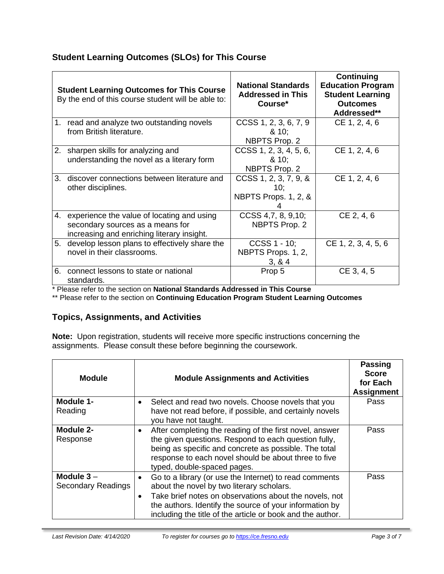# **Student Learning Outcomes (SLOs) for This Course**

| <b>Student Learning Outcomes for This Course</b><br>By the end of this course student will be able to: |                                                                                                                                 | <b>National Standards</b><br><b>Addressed in This</b><br>Course* | Continuing<br><b>Education Program</b><br><b>Student Learning</b><br><b>Outcomes</b><br>Addressed** |
|--------------------------------------------------------------------------------------------------------|---------------------------------------------------------------------------------------------------------------------------------|------------------------------------------------------------------|-----------------------------------------------------------------------------------------------------|
|                                                                                                        | 1. read and analyze two outstanding novels<br>from British literature.                                                          | CCSS 1, 2, 3, 6, 7, 9<br>810;<br>NBPTS Prop. 2                   | CE 1, 2, 4, 6                                                                                       |
|                                                                                                        | 2. sharpen skills for analyzing and<br>understanding the novel as a literary form                                               | $CCSS$ 1, 2, 3, 4, 5, 6,<br>810:<br>NBPTS Prop. 2                | CE 1, 2, 4, 6                                                                                       |
| 3.                                                                                                     | discover connections between literature and<br>other disciplines.                                                               | $CCSS$ 1, 2, 3, 7, 9, &<br>10:<br>NBPTS Props. 1, 2, &           | CE 1, 2, 4, 6                                                                                       |
|                                                                                                        | 4. experience the value of locating and using<br>secondary sources as a means for<br>increasing and enriching literary insight. | CCSS 4,7, 8, 9, 10;<br>NBPTS Prop. 2                             | CE 2, 4, 6                                                                                          |
| 5.                                                                                                     | develop lesson plans to effectively share the<br>novel in their classrooms.                                                     | $CCSS 1 - 10$ ;<br>NBPTS Props. 1, 2,<br>3, 8, 4                 | CE 1, 2, 3, 4, 5, 6                                                                                 |
| 6.                                                                                                     | connect lessons to state or national<br>standards.                                                                              | Prop 5                                                           | CE 3, 4, 5                                                                                          |

\* Please refer to the section on **National Standards Addressed in This Course**

\*\* Please refer to the section on **Continuing Education Program Student Learning Outcomes**

# **Topics, Assignments, and Activities**

**Note:** Upon registration, students will receive more specific instructions concerning the assignments. Please consult these before beginning the coursework.

| <b>Module</b>                      | <b>Module Assignments and Activities</b>                                                                                                                                                                                                                                               | <b>Passing</b><br><b>Score</b><br>for Each<br><b>Assignment</b> |
|------------------------------------|----------------------------------------------------------------------------------------------------------------------------------------------------------------------------------------------------------------------------------------------------------------------------------------|-----------------------------------------------------------------|
| Module 1-<br>Reading               | Select and read two novels. Choose novels that you<br>have not read before, if possible, and certainly novels<br>you have not taught.                                                                                                                                                  | Pass                                                            |
| Module 2-<br>Response              | After completing the reading of the first novel, answer<br>the given questions. Respond to each question fully,<br>being as specific and concrete as possible. The total<br>response to each novel should be about three to five<br>typed, double-spaced pages.                        | Pass                                                            |
| Module $3 -$<br>Secondary Readings | Go to a library (or use the Internet) to read comments<br>about the novel by two literary scholars.<br>Take brief notes on observations about the novels, not<br>the authors. Identify the source of your information by<br>including the title of the article or book and the author. | Pass                                                            |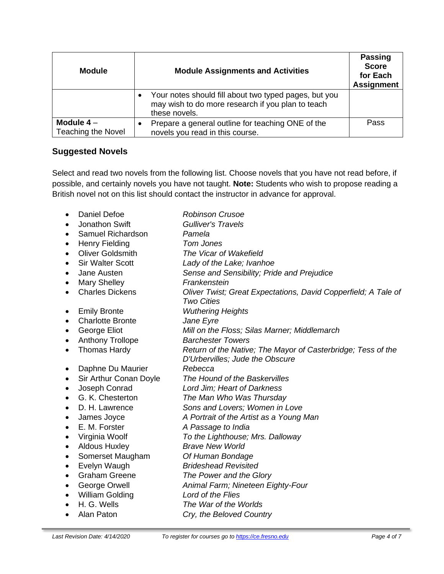| <b>Module</b>                     | <b>Module Assignments and Activities</b>                                                                                                 | <b>Passing</b><br><b>Score</b><br>for Each<br><b>Assignment</b> |
|-----------------------------------|------------------------------------------------------------------------------------------------------------------------------------------|-----------------------------------------------------------------|
|                                   | Your notes should fill about two typed pages, but you<br>$\bullet$<br>may wish to do more research if you plan to teach<br>these novels. |                                                                 |
| Module $4-$<br>Teaching the Novel | Prepare a general outline for teaching ONE of the<br>novels you read in this course.                                                     | Pass                                                            |

# **Suggested Novels**

Select and read two novels from the following list. Choose novels that you have not read before, if possible, and certainly novels you have not taught. **Note:** Students who wish to propose reading a British novel not on this list should contact the instructor in advance for approval.

| $\bullet$ | Daniel Defoe            | <b>Robinson Crusoe</b>                                                                          |
|-----------|-------------------------|-------------------------------------------------------------------------------------------------|
|           | Jonathon Swift          | <b>Gulliver's Travels</b>                                                                       |
| $\bullet$ | Samuel Richardson       | Pamela                                                                                          |
| $\bullet$ | <b>Henry Fielding</b>   | Tom Jones                                                                                       |
| $\bullet$ | <b>Oliver Goldsmith</b> | The Vicar of Wakefield                                                                          |
| $\bullet$ | <b>Sir Walter Scott</b> | Lady of the Lake; Ivanhoe                                                                       |
| $\bullet$ | Jane Austen             | Sense and Sensibility; Pride and Prejudice                                                      |
| ٠         | <b>Mary Shelley</b>     | Frankenstein                                                                                    |
| $\bullet$ | <b>Charles Dickens</b>  | Oliver Twist; Great Expectations, David Copperfield; A Tale of<br><b>Two Cities</b>             |
| ٠         | <b>Emily Bronte</b>     | <b>Wuthering Heights</b>                                                                        |
| $\bullet$ | <b>Charlotte Bronte</b> | Jane Eyre                                                                                       |
| $\bullet$ | George Eliot            | Mill on the Floss; Silas Marner; Middlemarch                                                    |
| ٠         | <b>Anthony Trollope</b> | <b>Barchester Towers</b>                                                                        |
| $\bullet$ | <b>Thomas Hardy</b>     | Return of the Native; The Mayor of Casterbridge; Tess of the<br>D'Urbervilles; Jude the Obscure |
|           | Daphne Du Maurier       | Rebecca                                                                                         |
| ٠         | Sir Arthur Conan Doyle  | The Hound of the Baskervilles                                                                   |
| $\bullet$ | Joseph Conrad           | Lord Jim; Heart of Darkness                                                                     |
| $\bullet$ | G. K. Chesterton        | The Man Who Was Thursday                                                                        |
| $\bullet$ | D. H. Lawrence          | Sons and Lovers; Women in Love                                                                  |
| $\bullet$ | James Joyce             | A Portrait of the Artist as a Young Man                                                         |
| $\bullet$ | E. M. Forster           | A Passage to India                                                                              |
| ٠         | Virginia Woolf          | To the Lighthouse; Mrs. Dalloway                                                                |
| $\bullet$ | <b>Aldous Huxley</b>    | <b>Brave New World</b>                                                                          |
| ٠         | Somerset Maugham        | Of Human Bondage                                                                                |
| ٠         | Evelyn Waugh            | <b>Brideshead Revisited</b>                                                                     |
| $\bullet$ | <b>Graham Greene</b>    | The Power and the Glory                                                                         |
| ٠         | George Orwell           | Animal Farm; Nineteen Eighty-Four                                                               |
| ٠         | William Golding         | Lord of the Flies                                                                               |
|           | H. G. Wells             | The War of the Worlds                                                                           |
| $\bullet$ | Alan Paton              | Cry, the Beloved Country                                                                        |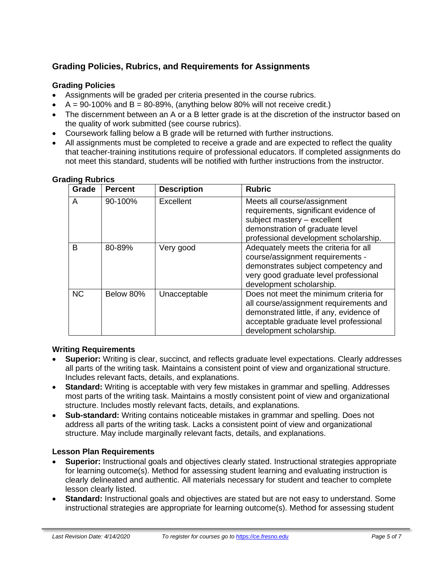# **Grading Policies, Rubrics, and Requirements for Assignments**

# **Grading Policies**

- Assignments will be graded per criteria presented in the course rubrics.
- $A = 90-100\%$  and  $B = 80-89\%$ , (anything below 80% will not receive credit.)
- The discernment between an A or a B letter grade is at the discretion of the instructor based on the quality of work submitted (see course rubrics).
- Coursework falling below a B grade will be returned with further instructions.
- All assignments must be completed to receive a grade and are expected to reflect the quality that teacher-training institutions require of professional educators. If completed assignments do not meet this standard, students will be notified with further instructions from the instructor.

#### **Grading Rubrics**

| Grade     | <b>Percent</b> | <b>Description</b> | <b>Rubric</b>                                                                                                                                                                                      |
|-----------|----------------|--------------------|----------------------------------------------------------------------------------------------------------------------------------------------------------------------------------------------------|
| A         | 90-100%        | Excellent          | Meets all course/assignment<br>requirements, significant evidence of<br>subject mastery - excellent<br>demonstration of graduate level<br>professional development scholarship.                    |
| B         | 80-89%         | Very good          | Adequately meets the criteria for all<br>course/assignment requirements -<br>demonstrates subject competency and<br>very good graduate level professional<br>development scholarship.              |
| <b>NC</b> | Below 80%      | Unacceptable       | Does not meet the minimum criteria for<br>all course/assignment requirements and<br>demonstrated little, if any, evidence of<br>acceptable graduate level professional<br>development scholarship. |

## **Writing Requirements**

- **Superior:** Writing is clear, succinct, and reflects graduate level expectations. Clearly addresses all parts of the writing task. Maintains a consistent point of view and organizational structure. Includes relevant facts, details, and explanations.
- **Standard:** Writing is acceptable with very few mistakes in grammar and spelling. Addresses most parts of the writing task. Maintains a mostly consistent point of view and organizational structure. Includes mostly relevant facts, details, and explanations.
- **Sub-standard:** Writing contains noticeable mistakes in grammar and spelling. Does not address all parts of the writing task. Lacks a consistent point of view and organizational structure. May include marginally relevant facts, details, and explanations.

## **Lesson Plan Requirements**

- **Superior:** Instructional goals and objectives clearly stated. Instructional strategies appropriate for learning outcome(s). Method for assessing student learning and evaluating instruction is clearly delineated and authentic. All materials necessary for student and teacher to complete lesson clearly listed.
- **Standard:** Instructional goals and objectives are stated but are not easy to understand. Some instructional strategies are appropriate for learning outcome(s). Method for assessing student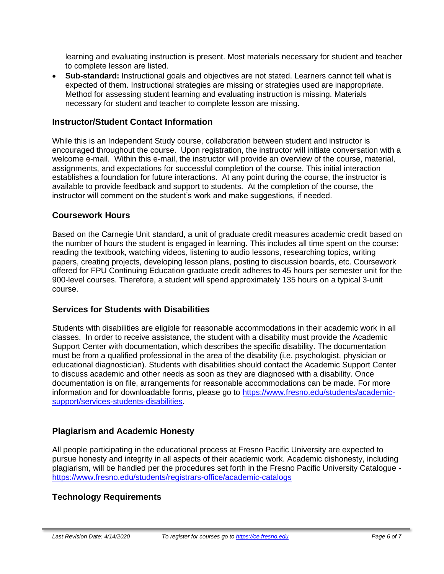learning and evaluating instruction is present. Most materials necessary for student and teacher to complete lesson are listed.

• **Sub-standard:** Instructional goals and objectives are not stated. Learners cannot tell what is expected of them. Instructional strategies are missing or strategies used are inappropriate. Method for assessing student learning and evaluating instruction is missing. Materials necessary for student and teacher to complete lesson are missing.

#### **Instructor/Student Contact Information**

While this is an Independent Study course, collaboration between student and instructor is encouraged throughout the course. Upon registration, the instructor will initiate conversation with a welcome e-mail. Within this e-mail, the instructor will provide an overview of the course, material, assignments, and expectations for successful completion of the course. This initial interaction establishes a foundation for future interactions. At any point during the course, the instructor is available to provide feedback and support to students. At the completion of the course, the instructor will comment on the student's work and make suggestions, if needed.

## **Coursework Hours**

Based on the Carnegie Unit standard, a unit of graduate credit measures academic credit based on the number of hours the student is engaged in learning. This includes all time spent on the course: reading the textbook, watching videos, listening to audio lessons, researching topics, writing papers, creating projects, developing lesson plans, posting to discussion boards, etc. Coursework offered for FPU Continuing Education graduate credit adheres to 45 hours per semester unit for the 900-level courses. Therefore, a student will spend approximately 135 hours on a typical 3-unit course.

## **Services for Students with Disabilities**

Students with disabilities are eligible for reasonable accommodations in their academic work in all classes. In order to receive assistance, the student with a disability must provide the Academic Support Center with documentation, which describes the specific disability. The documentation must be from a qualified professional in the area of the disability (i.e. psychologist, physician or educational diagnostician). Students with disabilities should contact the Academic Support Center to discuss academic and other needs as soon as they are diagnosed with a disability. Once documentation is on file, arrangements for reasonable accommodations can be made. For more information and for downloadable forms, please go to [https://www.fresno.edu/students/academic](https://www.fresno.edu/students/academic-support/services-students-disabilities)[support/services-students-disabilities.](https://www.fresno.edu/students/academic-support/services-students-disabilities)

## **Plagiarism and Academic Honesty**

All people participating in the educational process at Fresno Pacific University are expected to pursue honesty and integrity in all aspects of their academic work. Academic dishonesty, including plagiarism, will be handled per the procedures set forth in the Fresno Pacific University Catalogue <https://www.fresno.edu/students/registrars-office/academic-catalogs>

## **Technology Requirements**